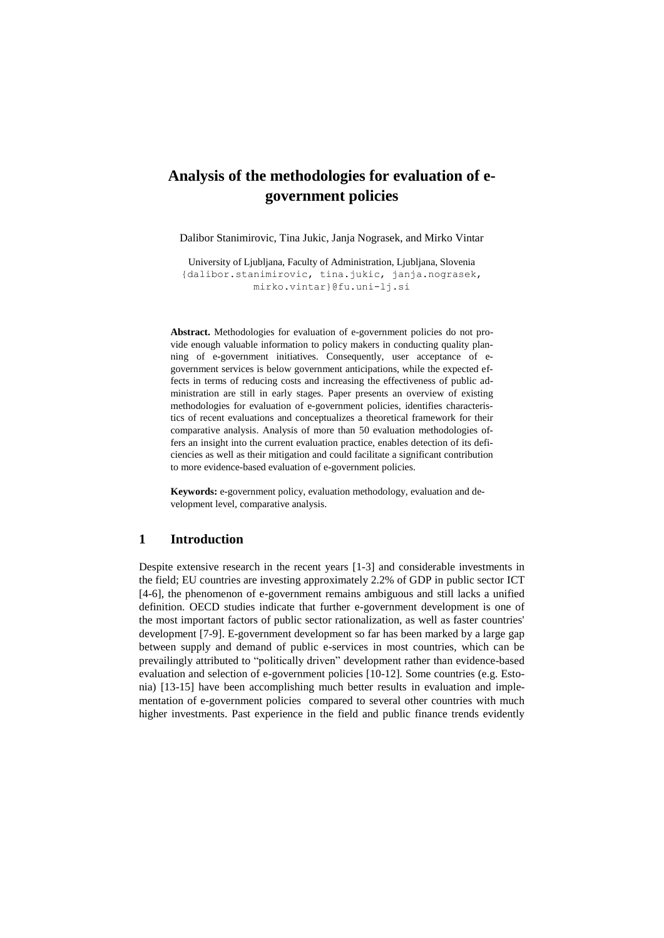# **Analysis of the methodologies for evaluation of egovernment policies**

Dalibor Stanimirovic, Tina Jukic, Janja Nograsek, and Mirko Vintar

University of Ljubljana, Faculty of Administration, Ljubljana, Slovenia {dalibor.stanimirovic, tina.jukic, janja.nograsek, mirko.vintar}@fu.uni-lj.si

**Abstract.** Methodologies for evaluation of e-government policies do not provide enough valuable information to policy makers in conducting quality planning of e-government initiatives. Consequently, user acceptance of egovernment services is below government anticipations, while the expected effects in terms of reducing costs and increasing the effectiveness of public administration are still in early stages. Paper presents an overview of existing methodologies for evaluation of e-government policies, identifies characteristics of recent evaluations and conceptualizes a theoretical framework for their comparative analysis. Analysis of more than 50 evaluation methodologies offers an insight into the current evaluation practice, enables detection of its deficiencies as well as their mitigation and could facilitate a significant contribution to more evidence-based evaluation of e-government policies.

**Keywords:** e-government policy, evaluation methodology, evaluation and development level, comparative analysis.

## **1 Introduction**

Despite extensive research in the recent years [1-3] and considerable investments in the field; EU countries are investing approximately 2.2% of GDP in public sector ICT [4-6], the phenomenon of e-government remains ambiguous and still lacks a unified definition. OECD studies indicate that further e-government development is one of the most important factors of public sector rationalization, as well as faster countries' development [7-9]. E-government development so far has been marked by a large gap between supply and demand of public e-services in most countries, which can be prevailingly attributed to "politically driven" development rather than evidence-based evaluation and selection of e-government policies [10-12]. Some countries (e.g. Estonia) [13-15] have been accomplishing much better results in evaluation and implementation of e-government policies compared to several other countries with much higher investments. Past experience in the field and public finance trends evidently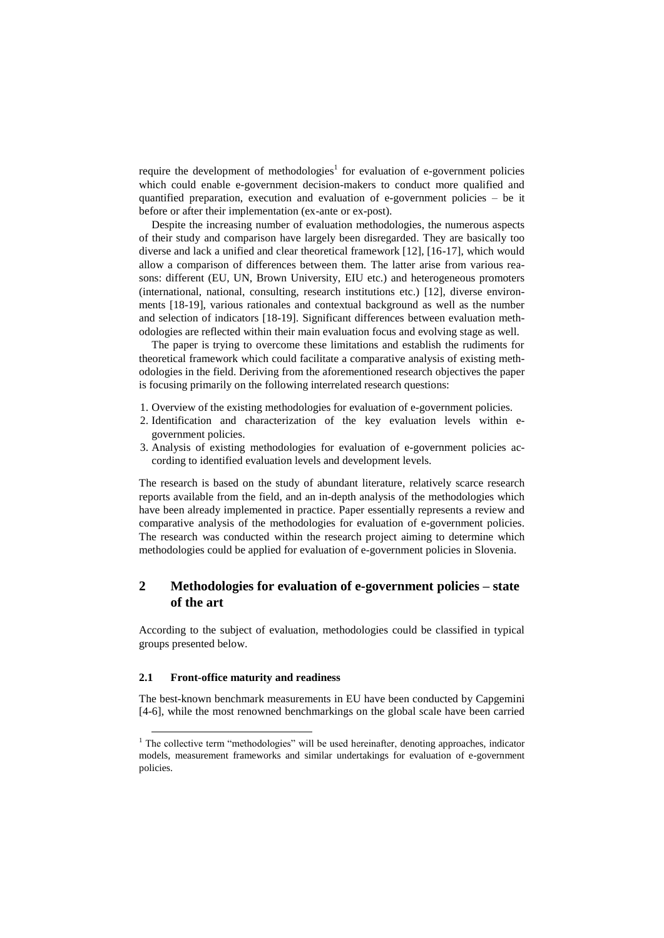require the development of methodologies<sup>1</sup> for evaluation of e-government policies which could enable e-government decision-makers to conduct more qualified and quantified preparation, execution and evaluation of e-government policies – be it before or after their implementation (ex-ante or ex-post).

Despite the increasing number of evaluation methodologies, the numerous aspects of their study and comparison have largely been disregarded. They are basically too diverse and lack a unified and clear theoretical framework [12], [16-17], which would allow a comparison of differences between them. The latter arise from various reasons: different (EU, UN, Brown University, EIU etc.) and heterogeneous promoters (international, national, consulting, research institutions etc.) [12], diverse environments [18-19], various rationales and contextual background as well as the number and selection of indicators [18-19]. Significant differences between evaluation methodologies are reflected within their main evaluation focus and evolving stage as well.

The paper is trying to overcome these limitations and establish the rudiments for theoretical framework which could facilitate a comparative analysis of existing methodologies in the field. Deriving from the aforementioned research objectives the paper is focusing primarily on the following interrelated research questions:

- 1. Overview of the existing methodologies for evaluation of e-government policies.
- 2. Identification and characterization of the key evaluation levels within egovernment policies.
- 3. Analysis of existing methodologies for evaluation of e-government policies according to identified evaluation levels and development levels.

The research is based on the study of abundant literature, relatively scarce research reports available from the field, and an in-depth analysis of the methodologies which have been already implemented in practice. Paper essentially represents a review and comparative analysis of the methodologies for evaluation of e-government policies. The research was conducted within the research project aiming to determine which methodologies could be applied for evaluation of e-government policies in Slovenia.

## **2 Methodologies for evaluation of e-government policies – state of the art**

According to the subject of evaluation, methodologies could be classified in typical groups presented below.

#### **2.1 Front-office maturity and readiness**

1

The best-known benchmark measurements in EU have been conducted by Capgemini [4-6], while the most renowned benchmarkings on the global scale have been carried

 $<sup>1</sup>$  The collective term "methodologies" will be used hereinafter, denoting approaches, indicator</sup> models, measurement frameworks and similar undertakings for evaluation of e-government policies.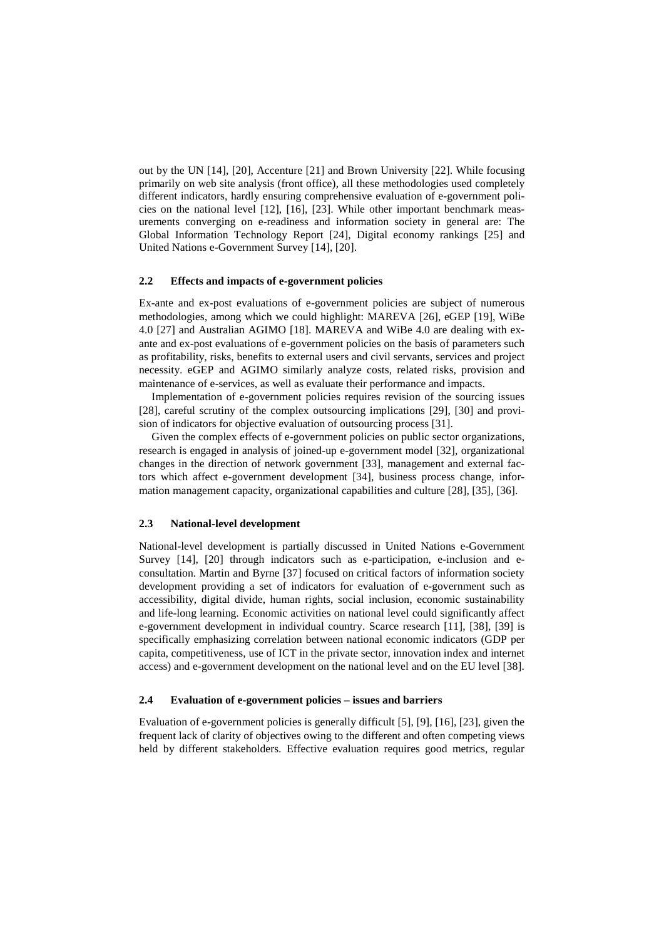out by the UN [14], [20], Accenture [21] and Brown University [22]. While focusing primarily on web site analysis (front office), all these methodologies used completely different indicators, hardly ensuring comprehensive evaluation of e-government policies on the national level [12], [16], [23]. While other important benchmark measurements converging on e-readiness and information society in general are: The Global Information Technology Report [24], Digital economy rankings [25] and United Nations e-Government Survey [14], [20].

#### **2.2 Effects and impacts of e-government policies**

Ex-ante and ex-post evaluations of e-government policies are subject of numerous methodologies, among which we could highlight: MAREVA [26], eGEP [19], WiBe 4.0 [27] and Australian AGIMO [18]. MAREVA and WiBe 4.0 are dealing with exante and ex-post evaluations of e-government policies on the basis of parameters such as profitability, risks, benefits to external users and civil servants, services and project necessity. eGEP and AGIMO similarly analyze costs, related risks, provision and maintenance of e-services, as well as evaluate their performance and impacts.

Implementation of e-government policies requires revision of the sourcing issues [28], careful scrutiny of the complex outsourcing implications [29], [30] and provision of indicators for objective evaluation of outsourcing process [31].

Given the complex effects of e-government policies on public sector organizations, research is engaged in analysis of joined-up e-government model [32], organizational changes in the direction of network government [33], management and external factors which affect e-government development [34], business process change, information management capacity, organizational capabilities and culture [28], [35], [36].

#### **2.3 National-level development**

National-level development is partially discussed in United Nations e-Government Survey [14], [20] through indicators such as e-participation, e-inclusion and econsultation. Martin and Byrne [37] focused on critical factors of information society development providing a set of indicators for evaluation of e-government such as accessibility, digital divide, human rights, social inclusion, economic sustainability and life-long learning. Economic activities on national level could significantly affect e-government development in individual country. Scarce research [11], [38], [39] is specifically emphasizing correlation between national economic indicators (GDP per capita, competitiveness, use of ICT in the private sector, innovation index and internet access) and e-government development on the national level and on the EU level [38].

### **2.4 Evaluation of e-government policies – issues and barriers**

Evaluation of e-government policies is generally difficult [5], [9], [16], [23], given the frequent lack of clarity of objectives owing to the different and often competing views held by different stakeholders. Effective evaluation requires good metrics, regular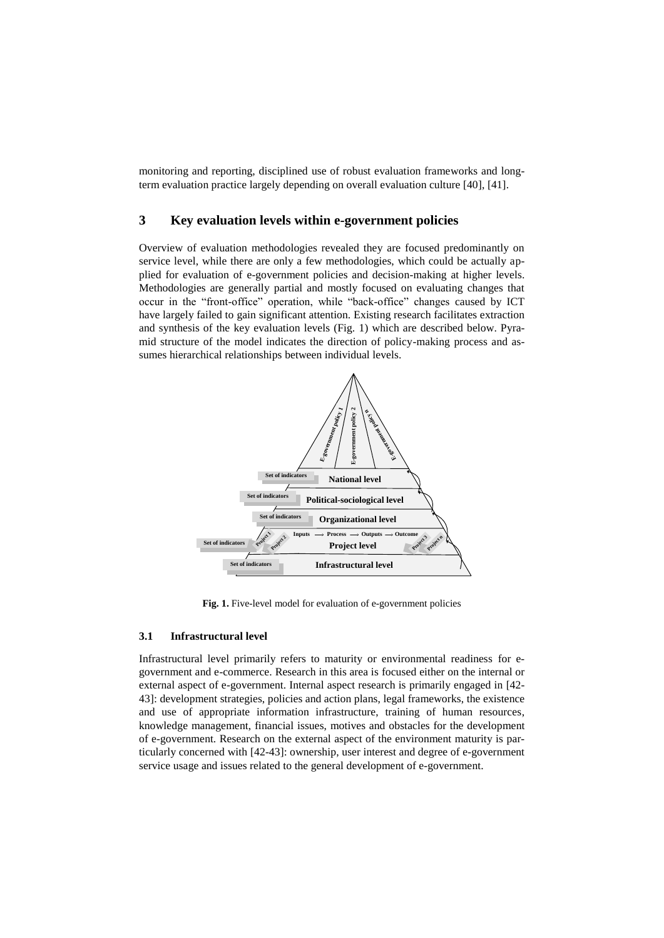monitoring and reporting, disciplined use of robust evaluation frameworks and longterm evaluation practice largely depending on overall evaluation culture [40], [41].

## **3 Key evaluation levels within e-government policies**

Overview of evaluation methodologies revealed they are focused predominantly on service level, while there are only a few methodologies, which could be actually applied for evaluation of e-government policies and decision-making at higher levels. Methodologies are generally partial and mostly focused on evaluating changes that occur in the "front-office" operation, while "back-office" changes caused by ICT have largely failed to gain significant attention. Existing research facilitates extraction and synthesis of the key evaluation levels (Fig. 1) which are described below. Pyramid structure of the model indicates the direction of policy-making process and assumes hierarchical relationships between individual levels.



**Fig. 1.** Five-level model for evaluation of e-government policies

#### **3.1 Infrastructural level**

Infrastructural level primarily refers to maturity or environmental readiness for egovernment and e-commerce. Research in this area is focused either on the internal or external aspect of e-government. Internal aspect research is primarily engaged in [42- 43]: development strategies, policies and action plans, legal frameworks, the existence and use of appropriate information infrastructure, training of human resources, knowledge management, financial issues, motives and obstacles for the development of e-government. Research on the external aspect of the environment maturity is particularly concerned with [42-43]: ownership, user interest and degree of e-government service usage and issues related to the general development of e-government.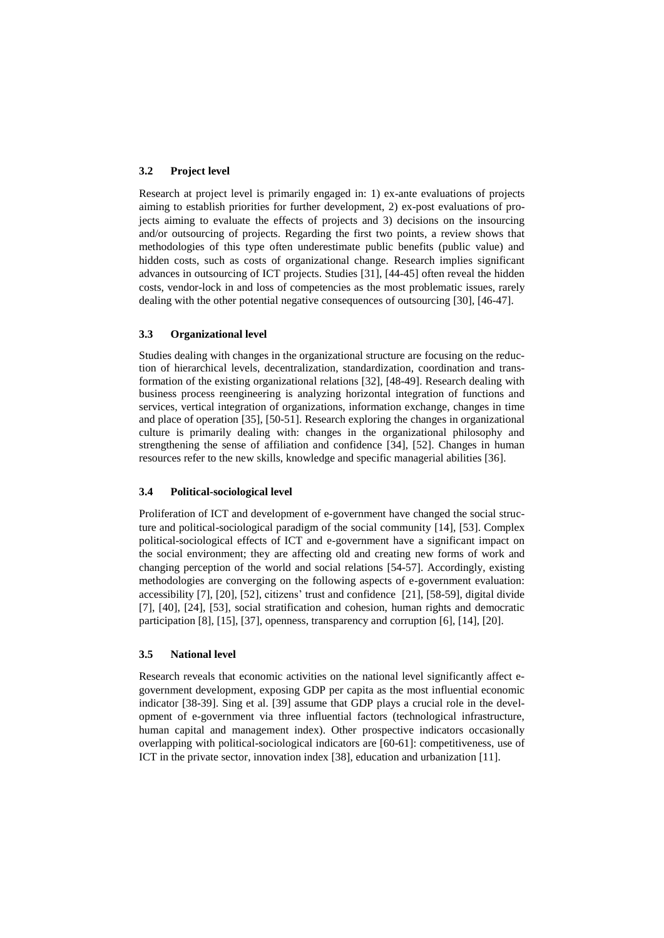#### **3.2 Project level**

Research at project level is primarily engaged in: 1) ex-ante evaluations of projects aiming to establish priorities for further development, 2) ex-post evaluations of projects aiming to evaluate the effects of projects and 3) decisions on the insourcing and/or outsourcing of projects. Regarding the first two points, a review shows that methodologies of this type often underestimate public benefits (public value) and hidden costs, such as costs of organizational change. Research implies significant advances in outsourcing of ICT projects. Studies [31], [44-45] often reveal the hidden costs, vendor-lock in and loss of competencies as the most problematic issues, rarely dealing with the other potential negative consequences of outsourcing [30], [46-47].

#### **3.3 Organizational level**

Studies dealing with changes in the organizational structure are focusing on the reduction of hierarchical levels, decentralization, standardization, coordination and transformation of the existing organizational relations [32], [48-49]. Research dealing with business process reengineering is analyzing horizontal integration of functions and services, vertical integration of organizations, information exchange, changes in time and place of operation [35], [50-51]. Research exploring the changes in organizational culture is primarily dealing with: changes in the organizational philosophy and strengthening the sense of affiliation and confidence [34], [52]. Changes in human resources refer to the new skills, knowledge and specific managerial abilities [36].

#### **3.4 Political-sociological level**

Proliferation of ICT and development of e-government have changed the social structure and political-sociological paradigm of the social community [14], [53]. Complex political-sociological effects of ICT and e-government have a significant impact on the social environment; they are affecting old and creating new forms of work and changing perception of the world and social relations [54-57]. Accordingly, existing methodologies are converging on the following aspects of e-government evaluation: accessibility [7], [20], [52], citizens' trust and confidence [21], [58-59], digital divide [7], [40], [24], [53], social stratification and cohesion, human rights and democratic participation [8], [15], [37], openness, transparency and corruption [6], [14], [20].

#### **3.5 National level**

Research reveals that economic activities on the national level significantly affect egovernment development, exposing GDP per capita as the most influential economic indicator [38-39]. Sing et al. [39] assume that GDP plays a crucial role in the development of e-government via three influential factors (technological infrastructure, human capital and management index). Other prospective indicators occasionally overlapping with political-sociological indicators are [60-61]: competitiveness, use of ICT in the private sector, innovation index [38], education and urbanization [11].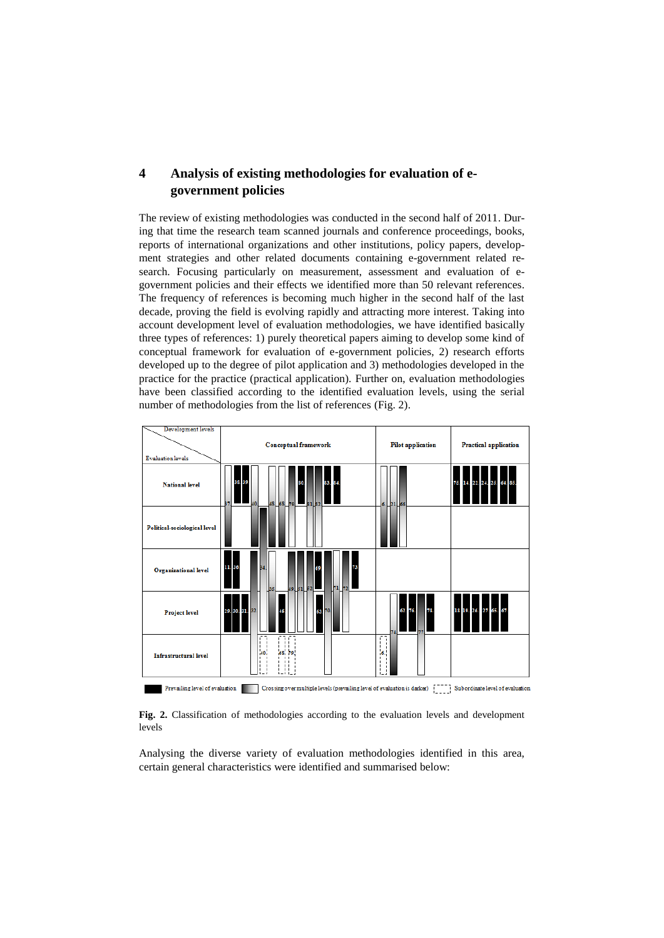## **4 Analysis of existing methodologies for evaluation of egovernment policies**

The review of existing methodologies was conducted in the second half of 2011. During that time the research team scanned journals and conference proceedings, books, reports of international organizations and other institutions, policy papers, development strategies and other related documents containing e-government related research. Focusing particularly on measurement, assessment and evaluation of egovernment policies and their effects we identified more than 50 relevant references. The frequency of references is becoming much higher in the second half of the last decade, proving the field is evolving rapidly and attracting more interest. Taking into account development level of evaluation methodologies, we have identified basically three types of references: 1) purely theoretical papers aiming to develop some kind of conceptual framework for evaluation of e-government policies, 2) research efforts developed up to the degree of pilot application and 3) methodologies developed in the practice for the practice (practical application). Further on, evaluation methodologies have been classified according to the identified evaluation levels, using the serial number of methodologies from the list of references (Fig. 2).



Prevailing level of evaluation Crossing over multiple levels (prevailing level of evaluation is darker) [1000] Subordinate level of evaluation

**Fig. 2.** Classification of methodologies according to the evaluation levels and development levels

Analysing the diverse variety of evaluation methodologies identified in this area, certain general characteristics were identified and summarised below: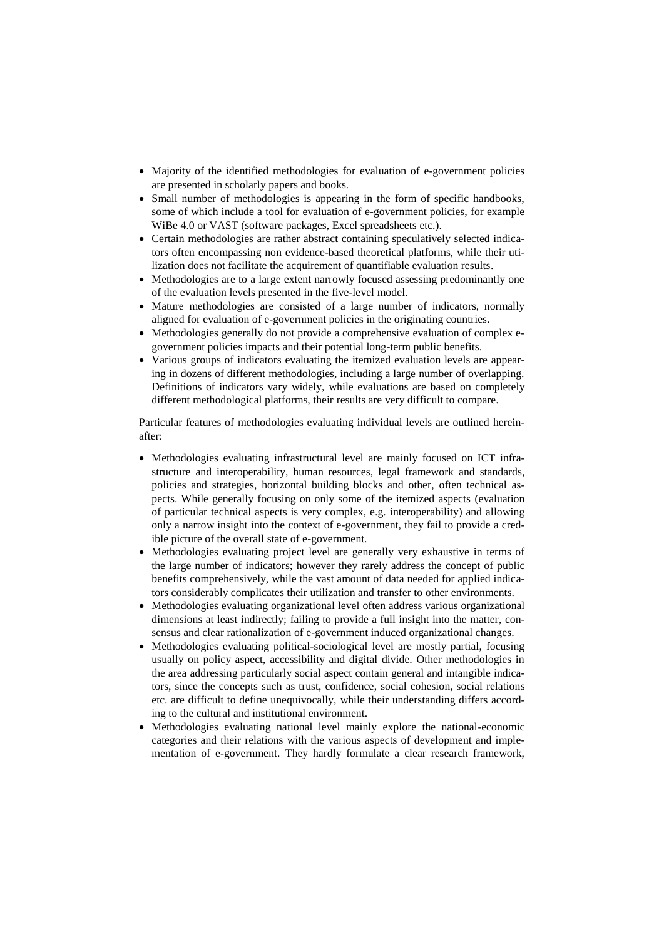- Majority of the identified methodologies for evaluation of e-government policies are presented in scholarly papers and books.
- Small number of methodologies is appearing in the form of specific handbooks, some of which include a tool for evaluation of e-government policies, for example WiBe 4.0 or VAST (software packages, Excel spreadsheets etc.).
- Certain methodologies are rather abstract containing speculatively selected indicators often encompassing non evidence-based theoretical platforms, while their utilization does not facilitate the acquirement of quantifiable evaluation results.
- Methodologies are to a large extent narrowly focused assessing predominantly one of the evaluation levels presented in the five-level model.
- Mature methodologies are consisted of a large number of indicators, normally aligned for evaluation of e-government policies in the originating countries.
- Methodologies generally do not provide a comprehensive evaluation of complex egovernment policies impacts and their potential long-term public benefits.
- Various groups of indicators evaluating the itemized evaluation levels are appearing in dozens of different methodologies, including a large number of overlapping. Definitions of indicators vary widely, while evaluations are based on completely different methodological platforms, their results are very difficult to compare.

Particular features of methodologies evaluating individual levels are outlined hereinafter:

- Methodologies evaluating infrastructural level are mainly focused on ICT infrastructure and interoperability, human resources, legal framework and standards, policies and strategies, horizontal building blocks and other, often technical aspects. While generally focusing on only some of the itemized aspects (evaluation of particular technical aspects is very complex, e.g. interoperability) and allowing only a narrow insight into the context of e-government, they fail to provide a credible picture of the overall state of e-government.
- Methodologies evaluating project level are generally very exhaustive in terms of the large number of indicators; however they rarely address the concept of public benefits comprehensively, while the vast amount of data needed for applied indicators considerably complicates their utilization and transfer to other environments.
- Methodologies evaluating organizational level often address various organizational dimensions at least indirectly; failing to provide a full insight into the matter, consensus and clear rationalization of e-government induced organizational changes.
- Methodologies evaluating political-sociological level are mostly partial, focusing usually on policy aspect, accessibility and digital divide. Other methodologies in the area addressing particularly social aspect contain general and intangible indicators, since the concepts such as trust, confidence, social cohesion, social relations etc. are difficult to define unequivocally, while their understanding differs according to the cultural and institutional environment.
- Methodologies evaluating national level mainly explore the national-economic categories and their relations with the various aspects of development and implementation of e-government. They hardly formulate a clear research framework,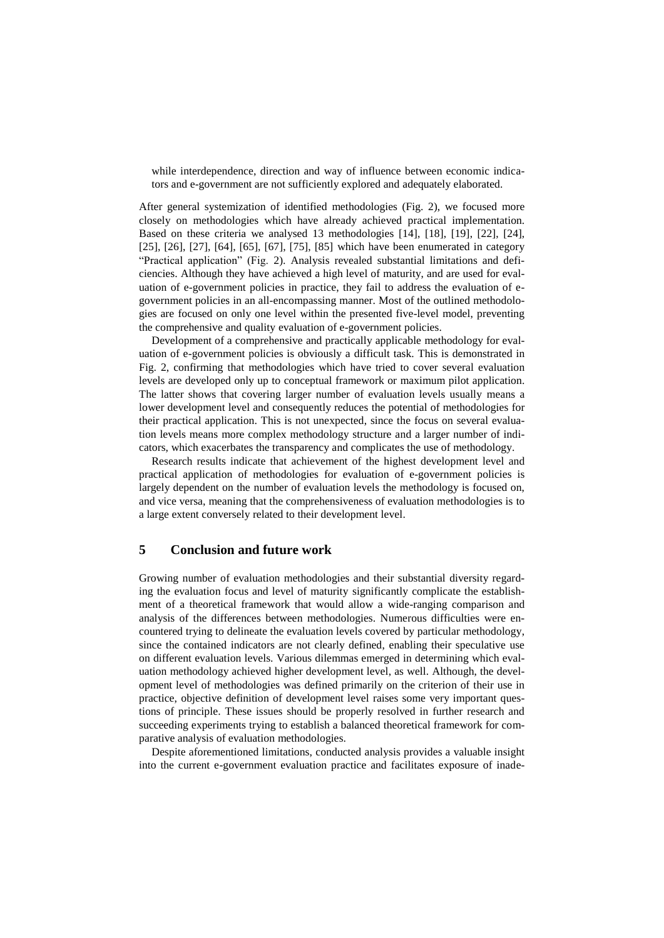while interdependence, direction and way of influence between economic indicators and e-government are not sufficiently explored and adequately elaborated.

After general systemization of identified methodologies (Fig. 2), we focused more closely on methodologies which have already achieved practical implementation. Based on these criteria we analysed 13 methodologies [14], [18], [19], [22], [24], [25], [26], [27], [64], [65], [67], [75], [85] which have been enumerated in category "Practical application" (Fig. 2). Analysis revealed substantial limitations and deficiencies. Although they have achieved a high level of maturity, and are used for evaluation of e-government policies in practice, they fail to address the evaluation of egovernment policies in an all-encompassing manner. Most of the outlined methodologies are focused on only one level within the presented five-level model, preventing the comprehensive and quality evaluation of e-government policies.

Development of a comprehensive and practically applicable methodology for evaluation of e-government policies is obviously a difficult task. This is demonstrated in Fig. 2, confirming that methodologies which have tried to cover several evaluation levels are developed only up to conceptual framework or maximum pilot application. The latter shows that covering larger number of evaluation levels usually means a lower development level and consequently reduces the potential of methodologies for their practical application. This is not unexpected, since the focus on several evaluation levels means more complex methodology structure and a larger number of indicators, which exacerbates the transparency and complicates the use of methodology.

Research results indicate that achievement of the highest development level and practical application of methodologies for evaluation of e-government policies is largely dependent on the number of evaluation levels the methodology is focused on, and vice versa, meaning that the comprehensiveness of evaluation methodologies is to a large extent conversely related to their development level.

## **5 Conclusion and future work**

Growing number of evaluation methodologies and their substantial diversity regarding the evaluation focus and level of maturity significantly complicate the establishment of a theoretical framework that would allow a wide-ranging comparison and analysis of the differences between methodologies. Numerous difficulties were encountered trying to delineate the evaluation levels covered by particular methodology, since the contained indicators are not clearly defined, enabling their speculative use on different evaluation levels. Various dilemmas emerged in determining which evaluation methodology achieved higher development level, as well. Although, the development level of methodologies was defined primarily on the criterion of their use in practice, objective definition of development level raises some very important questions of principle. These issues should be properly resolved in further research and succeeding experiments trying to establish a balanced theoretical framework for comparative analysis of evaluation methodologies.

Despite aforementioned limitations, conducted analysis provides a valuable insight into the current e-government evaluation practice and facilitates exposure of inade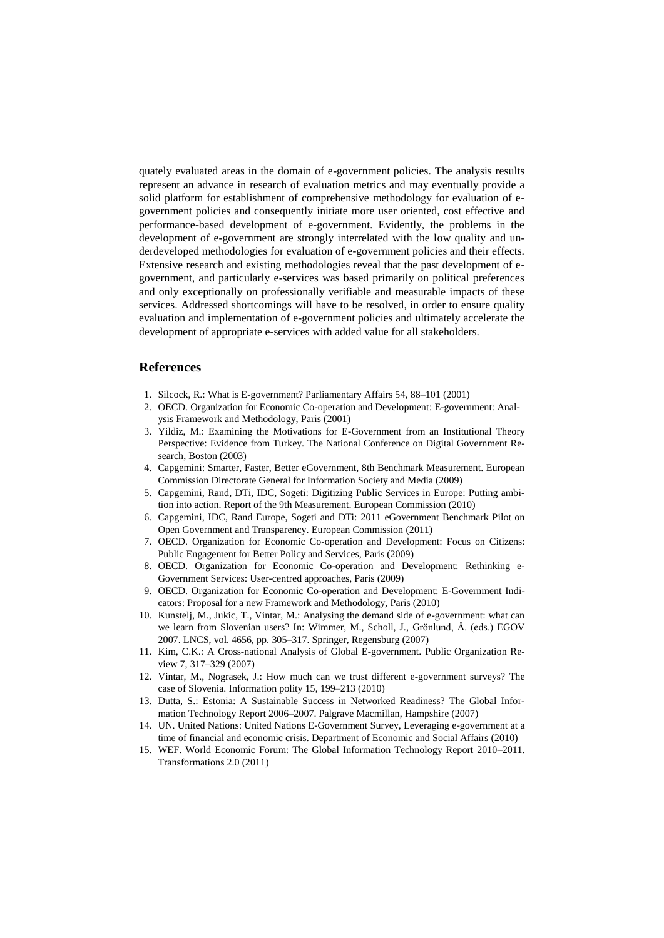quately evaluated areas in the domain of e-government policies. The analysis results represent an advance in research of evaluation metrics and may eventually provide a solid platform for establishment of comprehensive methodology for evaluation of egovernment policies and consequently initiate more user oriented, cost effective and performance-based development of e-government. Evidently, the problems in the development of e-government are strongly interrelated with the low quality and underdeveloped methodologies for evaluation of e-government policies and their effects. Extensive research and existing methodologies reveal that the past development of egovernment, and particularly e-services was based primarily on political preferences and only exceptionally on professionally verifiable and measurable impacts of these services. Addressed shortcomings will have to be resolved, in order to ensure quality evaluation and implementation of e-government policies and ultimately accelerate the development of appropriate e-services with added value for all stakeholders.

### **References**

- 1. Silcock, R.: What is E-government? Parliamentary Affairs 54, 88–101 (2001)
- 2. OECD. Organization for Economic Co-operation and Development: E-government: Analysis Framework and Methodology, Paris (2001)
- 3. Yildiz, M.: Examining the Motivations for E-Government from an Institutional Theory Perspective: Evidence from Turkey. The National Conference on Digital Government Research, Boston (2003)
- 4. Capgemini: Smarter, Faster, Better eGovernment, 8th Benchmark Measurement. European Commission Directorate General for Information Society and Media (2009)
- 5. Capgemini, Rand, DTi, IDC, Sogeti: Digitizing Public Services in Europe: Putting ambition into action. Report of the 9th Measurement. European Commission (2010)
- 6. Capgemini, IDC, Rand Europe, Sogeti and DTi: 2011 eGovernment Benchmark Pilot on Open Government and Transparency. European Commission (2011)
- 7. OECD. Organization for Economic Co-operation and Development: Focus on Citizens: Public Engagement for Better Policy and Services, Paris (2009)
- 8. OECD. Organization for Economic Co-operation and Development: Rethinking e-Government Services: User-centred approaches, Paris (2009)
- 9. OECD. Organization for Economic Co-operation and Development: E-Government Indicators: Proposal for a new Framework and Methodology, Paris (2010)
- 10. Kunstelj, M., Jukic, T., Vintar, M.: Analysing the demand side of e-government: what can we learn from Slovenian users? In: Wimmer, M., Scholl, J., Grönlund, Å. (eds.) EGOV 2007. LNCS, vol. 4656, pp. 305–317. Springer, Regensburg (2007)
- 11. Kim, C.K.: A Cross-national Analysis of Global E-government. Public Organization Review 7, 317–329 (2007)
- 12. Vintar, M., Nograsek, J.: How much can we trust different e-government surveys? The case of Slovenia. Information polity 15, 199–213 (2010)
- 13. Dutta, S.: Estonia: A Sustainable Success in Networked Readiness? The Global Information Technology Report 2006–2007. Palgrave Macmillan, Hampshire (2007)
- 14. UN. United Nations: United Nations E-Government Survey, Leveraging e-government at a time of financial and economic crisis. Department of Economic and Social Affairs (2010)
- 15. WEF. World Economic Forum: The Global Information Technology Report 2010–2011. Transformations 2.0 (2011)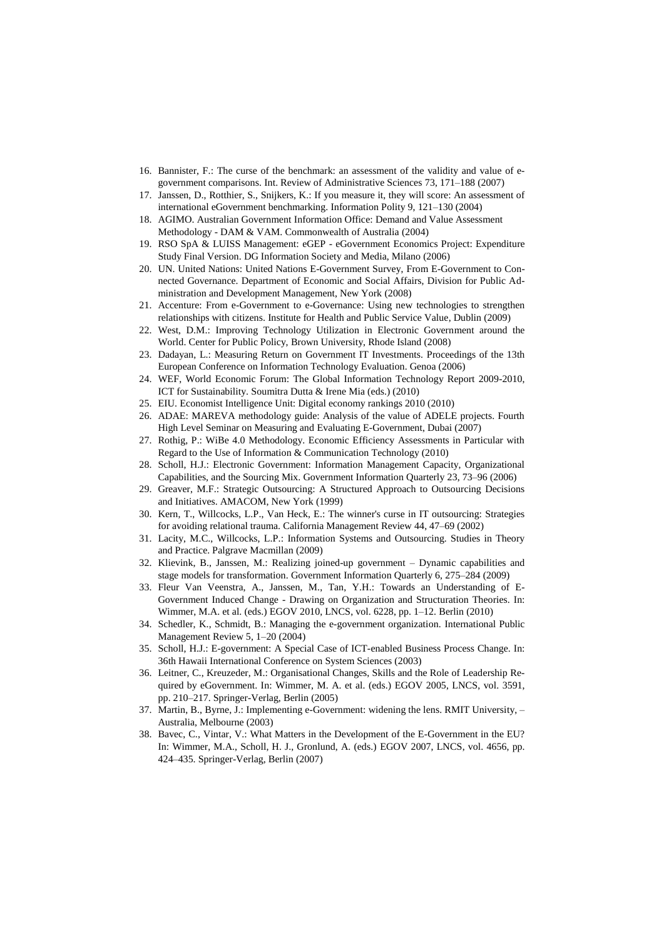- 16. Bannister, F.: The curse of the benchmark: an assessment of the validity and value of egovernment comparisons. Int. Review of Administrative Sciences 73, 171–188 (2007)
- 17. Janssen, D., Rotthier, S., Snijkers, K.: If you measure it, they will score: An assessment of international eGovernment benchmarking. Information Polity 9, 121–130 (2004)
- 18. AGIMO. Australian Government Information Office: Demand and Value Assessment Methodology - DAM & VAM. Commonwealth of Australia (2004)
- 19. RSO SpA & LUISS Management: eGEP eGovernment Economics Project: Expenditure Study Final Version. DG Information Society and Media, Milano (2006)
- 20. UN. United Nations: United Nations E-Government Survey, From E-Government to Connected Governance. Department of Economic and Social Affairs, Division for Public Administration and Development Management, New York (2008)
- 21. Accenture: From e-Government to e-Governance: Using new technologies to strengthen relationships with citizens. Institute for Health and Public Service Value, Dublin (2009)
- 22. West, D.M.: Improving Technology Utilization in Electronic Government around the World. Center for Public Policy, Brown University, Rhode Island (2008)
- 23. Dadayan, L.: Measuring Return on Government IT Investments. Proceedings of the 13th European Conference on Information Technology Evaluation. Genoa (2006)
- 24. WEF, World Economic Forum: The Global Information Technology Report 2009-2010, ICT for Sustainability. Soumitra Dutta & Irene Mia (eds.) (2010)
- 25. EIU. Economist Intelligence Unit: Digital economy rankings 2010 (2010)
- 26. ADAE: MAREVA methodology guide: Analysis of the value of ADELE projects. Fourth High Level Seminar on Measuring and Evaluating E-Government, Dubai (2007)
- 27. Rothig, P.: WiBe 4.0 Methodology. Economic Efficiency Assessments in Particular with Regard to the Use of Information & Communication Technology (2010)
- 28. Scholl, H.J.: Electronic Government: Information Management Capacity, Organizational Capabilities, and the Sourcing Mix. Government Information Quarterly 23, 73–96 (2006)
- 29. Greaver, M.F.: Strategic Outsourcing: A Structured Approach to Outsourcing Decisions and Initiatives. AMACOM, New York (1999)
- 30. Kern, T., Willcocks, L.P., Van Heck, E.: The winner's curse in IT outsourcing: Strategies for avoiding relational trauma. California Management Review 44, 47–69 (2002)
- 31. Lacity, M.C., Willcocks, L.P.: Information Systems and Outsourcing. Studies in Theory and Practice. Palgrave Macmillan (2009)
- 32. Klievink, B., Janssen, M.: Realizing joined-up government Dynamic capabilities and stage models for transformation. Government Information Quarterly 6, 275–284 (2009)
- 33. Fleur Van Veenstra, A., Janssen, M., Tan, Y.H.: Towards an Understanding of E-Government Induced Change - Drawing on Organization and Structuration Theories. In: Wimmer, M.A. et al. (eds.) EGOV 2010, LNCS, vol. 6228, pp. 1–12. Berlin (2010)
- 34. Schedler, K., Schmidt, B.: Managing the e-government organization. International Public Management Review 5, 1–20 (2004)
- 35. Scholl, H.J.: E-government: A Special Case of ICT-enabled Business Process Change. In: 36th Hawaii International Conference on System Sciences (2003)
- 36. Leitner, C., Kreuzeder, M.: Organisational Changes, Skills and the Role of Leadership Required by eGovernment. In: Wimmer, M. A. et al. (eds.) EGOV 2005, LNCS, vol. 3591, pp. 210–217. Springer-Verlag, Berlin (2005)
- 37. Martin, B., Byrne, J.: Implementing e-Government: widening the lens. RMIT University, Australia, Melbourne (2003)
- 38. Bavec, C., Vintar, V.: What Matters in the Development of the E-Government in the EU? In: Wimmer, M.A., Scholl, H. J., Gronlund, A. (eds.) EGOV 2007, LNCS, vol. 4656, pp. 424–435. Springer-Verlag, Berlin (2007)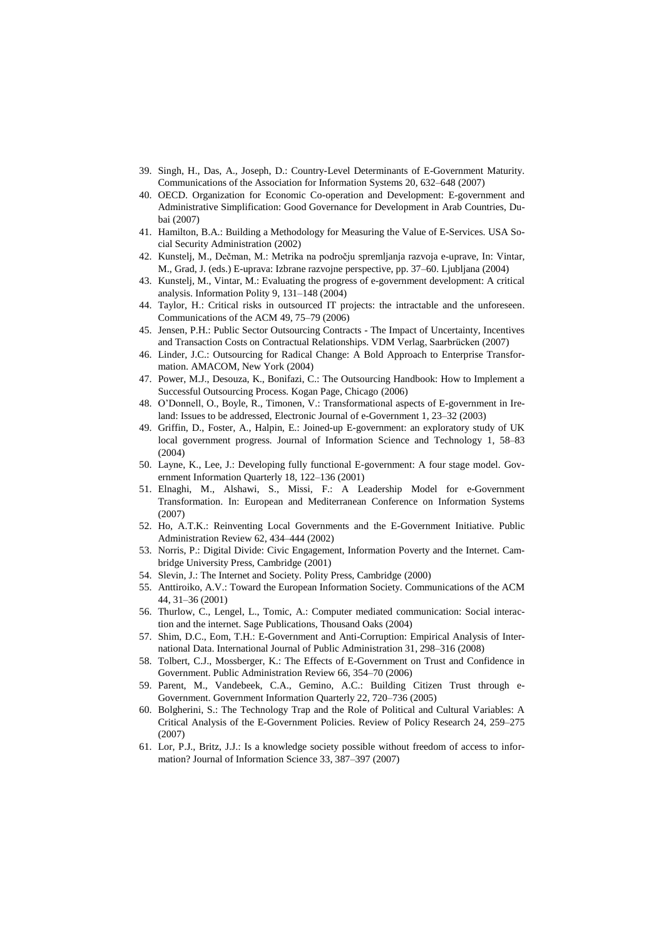- 39. Singh, H., Das, A., Joseph, D.: Country-Level Determinants of E-Government Maturity. Communications of the Association for Information Systems 20, 632–648 (2007)
- 40. OECD. Organization for Economic Co-operation and Development: E-government and Administrative Simplification: Good Governance for Development in Arab Countries, Dubai (2007)
- 41. Hamilton, B.A.: Building a Methodology for Measuring the Value of E-Services. USA Social Security Administration (2002)
- 42. Kunstelj, M., Dečman, M.: Metrika na področju spremljanja razvoja e-uprave, In: Vintar, M., Grad, J. (eds.) E-uprava: Izbrane razvojne perspective, pp. 37–60. Ljubljana (2004)
- 43. Kunstelj, M., Vintar, M.: Evaluating the progress of e-government development: A critical analysis. Information Polity 9, 131–148 (2004)
- 44. Taylor, H.: Critical risks in outsourced IT projects: the intractable and the unforeseen. Communications of the ACM 49, 75–79 (2006)
- 45. Jensen, P.H.: Public Sector Outsourcing Contracts The Impact of Uncertainty, Incentives and Transaction Costs on Contractual Relationships. VDM Verlag, Saarbrücken (2007)
- 46. Linder, J.C.: Outsourcing for Radical Change: A Bold Approach to Enterprise Transformation. AMACOM, New York (2004)
- 47. Power, M.J., Desouza, K., Bonifazi, C.: The Outsourcing Handbook: How to Implement a Successful Outsourcing Process. Kogan Page, Chicago (2006)
- 48. O'Donnell, O., Boyle, R., Timonen, V.: Transformational aspects of E-government in Ireland: Issues to be addressed, Electronic Journal of e-Government 1, 23–32 (2003)
- 49. Griffin, D., Foster, A., Halpin, E.: Joined-up E-government: an exploratory study of UK local government progress. Journal of Information Science and Technology 1, 58–83 (2004)
- 50. Layne, K., Lee, J.: Developing fully functional E-government: A four stage model. Government Information Quarterly 18, 122–136 (2001)
- 51. Elnaghi, M., Alshawi, S., Missi, F.: A Leadership Model for e-Government Transformation. In: European and Mediterranean Conference on Information Systems (2007)
- 52. Ho, A.T.K.: Reinventing Local Governments and the E-Government Initiative. Public Administration Review 62, 434–444 (2002)
- 53. Norris, P.: Digital Divide: Civic Engagement, Information Poverty and the Internet. Cambridge University Press, Cambridge (2001)
- 54. Slevin, J.: The Internet and Society. Polity Press, Cambridge (2000)
- 55. Anttiroiko, A.V.: Toward the European Information Society. Communications of the ACM 44, 31–36 (2001)
- 56. Thurlow, C., Lengel, L., Tomic, A.: Computer mediated communication: Social interaction and the internet. Sage Publications, Thousand Oaks (2004)
- 57. Shim, D.C., Eom, T.H.: E-Government and Anti-Corruption: Empirical Analysis of International Data. International Journal of Public Administration 31, 298–316 (2008)
- 58. Tolbert, C.J., Mossberger, K.: The Effects of E-Government on Trust and Confidence in Government. Public Administration Review 66, 354–70 (2006)
- 59. Parent, M., Vandebeek, C.A., Gemino, A.C.: Building Citizen Trust through e-Government. Government Information Quarterly 22, 720–736 (2005)
- 60. Bolgherini, S.: The Technology Trap and the Role of Political and Cultural Variables: A Critical Analysis of the E-Government Policies. Review of Policy Research 24, 259–275 (2007)
- 61. Lor, P.J., Britz, J.J.: Is a knowledge society possible without freedom of access to information? Journal of Information Science 33, 387–397 (2007)